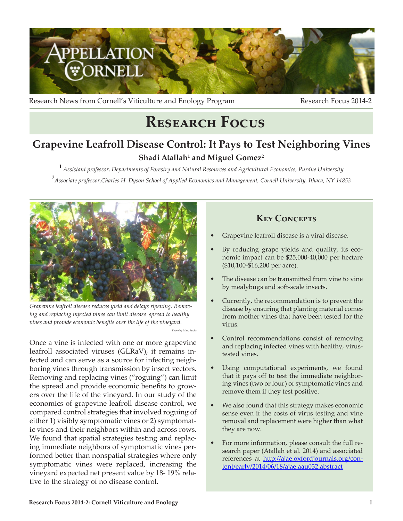

Research News from Cornell's Viticulture and Enology Program Research Focus 2014-2

# **Research Focus**

# **Grapevine Leafroll Disease Control: It Pays to Test Neighboring Vines**  $\mathbf S$ hadi Atallah<sup>1</sup> and Miguel Gomez<sup>2</sup>

**<sup>1</sup>***Assistant professor, Departments of Forestry and Natural Resources and Agricultural Economics, Purdue University 2 Associate professor,Charles H. Dyson School of Applied Economics and Management, Cornell University, Ithaca, NY 14853* 

Photo by Marc Fuchs



*Grapevine leafroll disease reduces yield and delays ripening. Removing and replacing infected vines can limit disease spread to healthy vines and provide economic benefits over the life of the vineyard.*

Once a vine is infected with one or more grapevine leafroll associated viruses (GLRaV), it remains infected and can serve as a source for infecting neighboring vines through transmission by insect vectors. Removing and replacing vines ("roguing") can limit the spread and provide economic benefits to growers over the life of the vineyard. In our study of the economics of grapevine leafroll disease control, we compared control strategies that involved roguing of either 1) visibly symptomatic vines or 2) symptomatic vines and their neighbors within and across rows. We found that spatial strategies testing and replacing immediate neighbors of symptomatic vines performed better than nonspatial strategies where only symptomatic vines were replaced, increasing the vineyard expected net present value by 18- 19% relative to the strategy of no disease control.

### **Key Concepts**

- Grapevine leafroll disease is a viral disease.
- By reducing grape yields and quality, its economic impact can be \$25,000-40,000 per hectare (\$10,100-\$16,200 per acre).
- The disease can be transmitted from vine to vine by mealybugs and soft-scale insects.
- Currently, the recommendation is to prevent the disease by ensuring that planting material comes from mother vines that have been tested for the virus.
- Control recommendations consist of removing and replacing infected vines with healthy, virustested vines.
- Using computational experiments, we found that it pays off to test the immediate neighboring vines (two or four) of symptomatic vines and remove them if they test positive.
- We also found that this strategy makes economic sense even if the costs of virus testing and vine removal and replacement were higher than what they are now.
- For more information, please consult the full research paper (Atallah et al. 2014) and associated references at http://ajae.oxfordjournals.org/content/early/2014/06/18/ajae.aau032.abstract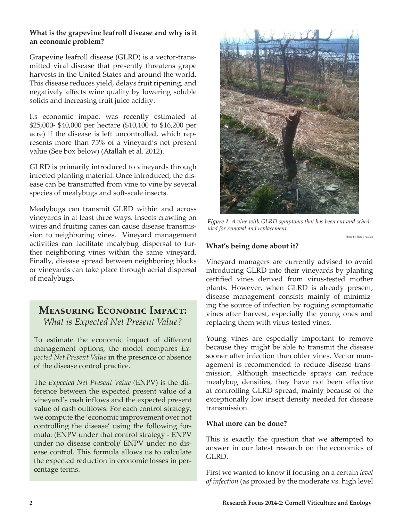#### **What is the grapevine leafroll disease and why is it an economic problem?**

Grapevine leafroll disease (GLRD) is a vector-transmitted viral disease that presently threatens grape harvests in the United States and around the world. This disease reduces yield, delays fruit ripening, and negatively affects wine quality by lowering soluble solids and increasing fruit juice acidity.

Its economic impact was recently estimated at \$25,000- \$40,000 per hectare (\$10,100 to \$16,200 per acre) if the disease is left uncontrolled, which represents more than 75% of a vineyard's net present value (See box below) (Atallah et al. 2012).

GLRD is primarily introduced to vineyards through infected planting material. Once introduced, the disease can be transmitted from vine to vine by several species of mealybugs and soft-scale insects.

Mealybugs can transmit GLRD within and across vineyards in at least three ways. Insects crawling on wires and fruiting canes can cause disease transmission to neighboring vines. Vineyard management activities can facilitate mealybug dispersal to further neighboring vines within the same vineyard. Finally, disease spread between neighboring blocks or vineyards can take place through aerial dispersal of mealybugs.

## **Measuring Economic Impact:** *What is Expected Net Present Value?*

To estimate the economic impact of different management options, the model compares *Expected Net Present Value* in the presence or absence of the disease control practice.

The *Expected Net Present Value (*ENPV) is the difference between the expected present value of a vineyard's cash inflows and the expected present value of cash outflows. For each control strategy, we compute the 'economic improvement over not controlling the disease' using the following formula: (ENPV under that control strategy - ENPV under no disease control)/ ENPV under no disease control. This formula allows us to calculate the expected reduction in economic losses in percentage terms.



*Figure 1. A vine with GLRD symptoms that has been cut and scheduled for removal and replacement.*

Photo by Shady Atallah

#### **What's being done about it?**

Vineyard managers are currently advised to avoid introducing GLRD into their vineyards by planting certified vines derived from virus-tested mother plants. However, when GLRD is already present, disease management consists mainly of minimizing the source of infection by roguing symptomatic vines after harvest, especially the young ones and replacing them with virus-tested vines.

Young vines are especially important to remove because they might be able to transmit the disease sooner after infection than older vines. Vector management is recommended to reduce disease transmission. Although insecticide sprays can reduce mealybug densities, they have not been effective at controlling GLRD spread, mainly because of the exceptionally low insect density needed for disease transmission.

#### **What more can be done?**

This is exactly the question that we attempted to answer in our latest research on the economics of GLRD.

First we wanted to know if focusing on a certain *level of infection* (as proxied by the moderate vs. high level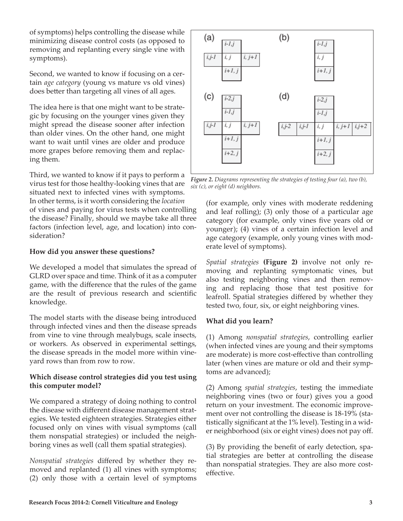of symptoms) helps controlling the disease while minimizing disease control costs (as opposed to removing and replanting every single vine with symptoms).

Second, we wanted to know if focusing on a certain *age category* (young vs mature vs old vines) does better than targeting all vines of all ages.

The idea here is that one might want to be strategic by focusing on the younger vines given they might spread the disease sooner after infection than older vines. On the other hand, one might want to wait until vines are older and produce more grapes before removing them and replacing them.

Third, we wanted to know if it pays to perform a virus test for those healthy-looking vines that are situated next to infected vines with symptoms. In other terms, is it worth considering the *location* of vines and paying for virus tests when controlling the disease? Finally, should we maybe take all three factors (infection level, age, and location) into consideration?

#### **How did you answer these questions?**

We developed a model that simulates the spread of GLRD over space and time. Think of it as a computer game, with the difference that the rules of the game are the result of previous research and scientific knowledge.

The model starts with the disease being introduced through infected vines and then the disease spreads from vine to vine through mealybugs, scale insects, or workers. As observed in experimental settings, the disease spreads in the model more within vineyard rows than from row to row.

#### **Which disease control strategies did you test using this computer model?**

We compared a strategy of doing nothing to control the disease with different disease management strategies. We tested eighteen strategies. Strategies either focused only on vines with visual symptoms (call them nonspatial strategies) or included the neighboring vines as well (call them spatial strategies).

*Nonspatial strategies* differed by whether they removed and replanted (1) all vines with symptoms; (2) only those with a certain level of symptoms



*Figure 2. Diagrams representing the strategies of testing four (a), two (b), six (c), or eight (d) neighbors.*

(for example, only vines with moderate reddening and leaf rolling); (3) only those of a particular age category (for example, only vines five years old or younger); (4) vines of a certain infection level and age category (example, only young vines with moderate level of symptoms).

*Spatial strategies* **(Figure 2)** involve not only removing and replanting symptomatic vines, but also testing neighboring vines and then removing and replacing those that test positive for leafroll. Spatial strategies differed by whether they tested two, four, six, or eight neighboring vines.

#### **What did you learn?**

(1) Among *nonspatial strategies*, controlling earlier (when infected vines are young and their symptoms are moderate) is more cost-effective than controlling later (when vines are mature or old and their symptoms are advanced);

(2) Among *spatial strategies*, testing the immediate neighboring vines (two or four) gives you a good return on your investment. The economic improvement over not controlling the disease is 18-19% (statistically significant at the 1% level). Testing in a wider neighborhood (six or eight vines) does not pay off.

(3) By providing the benefit of early detection, spatial strategies are better at controlling the disease than nonspatial strategies. They are also more costeffective.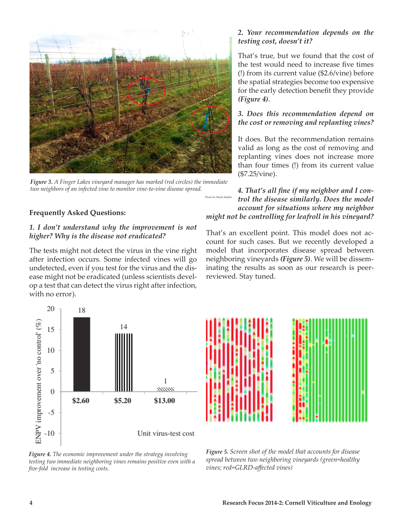

*Figure 3. A Finger Lakes vineyard manager has marked (red circles) the immediate two neighbors of an infected vine to monitor vine-to-vine disease spread.*

#### **Frequently Asked Questions:**

#### *1. I don't understand why the improvement is not higher? Why is the disease not eradicated?*

The tests might not detect the virus in the vine right after infection occurs. Some infected vines will go undetected, even if you test for the virus and the disease might not be eradicated (unless scientists develop a test that can detect the virus right after infection, with no error).



That's true, but we found that the cost of the test would need to increase five times (!) from its current value (\$2.6/vine) before the spatial strategies become too expensive for the early detection benefit they provide *(Figure 4)*.

#### *3. Does this recommendation depend on the cost or removing and replanting vines?*

It does. But the recommendation remains valid as long as the cost of removing and replanting vines does not increase more than four times (!) from its current value (\$7.25/vine).

*4. That's all fine if my neighbor and I control the disease similarly. Does the model account for situations where my neighbor might not be controlling for leafroll in his vineyard?*  Photo by Shadi Atallah

That's an excellent point. This model does not account for such cases. But we recently developed a model that incorporates disease spread between neighboring vineyards *(Figure 5)*. We will be disseminating the results as soon as our research is peerreviewed. Stay tuned.



*Figure 4. The economic improvement under the strategy involving testing two immediate neighboring vines remains positive even with a five-fold increase in testing costs.*



*Figure 5. Screen shot of the model that accounts for disease spread between two neighboring vineyards (green=healthy vines; red=GLRD-affected vines)*